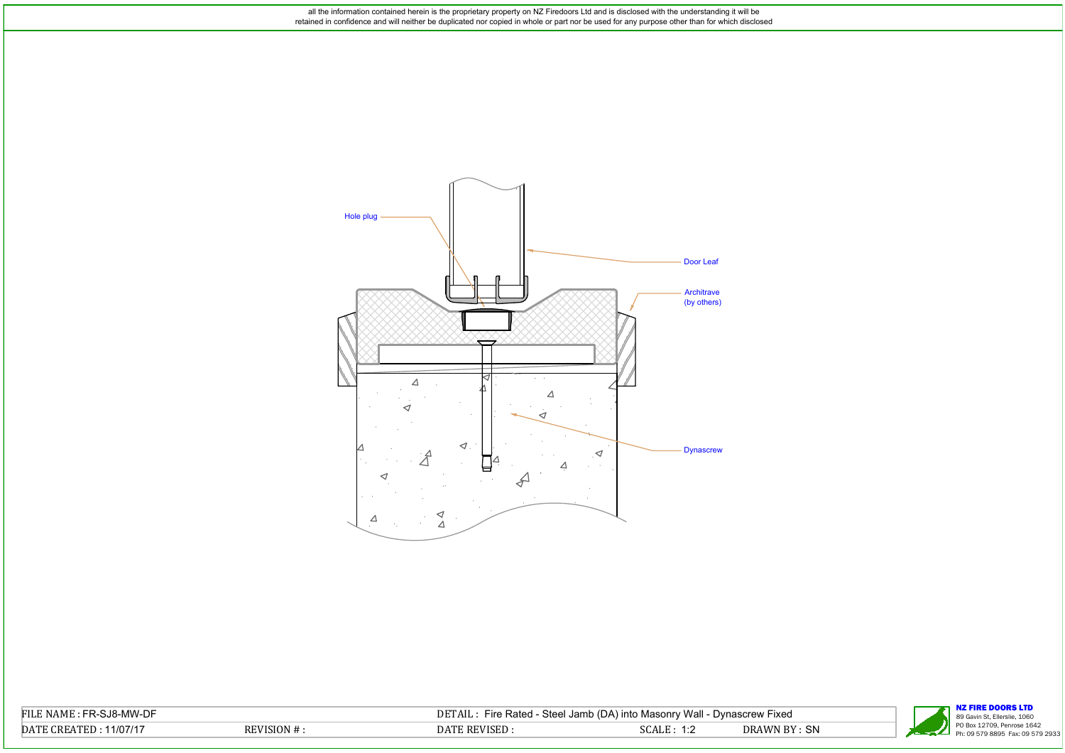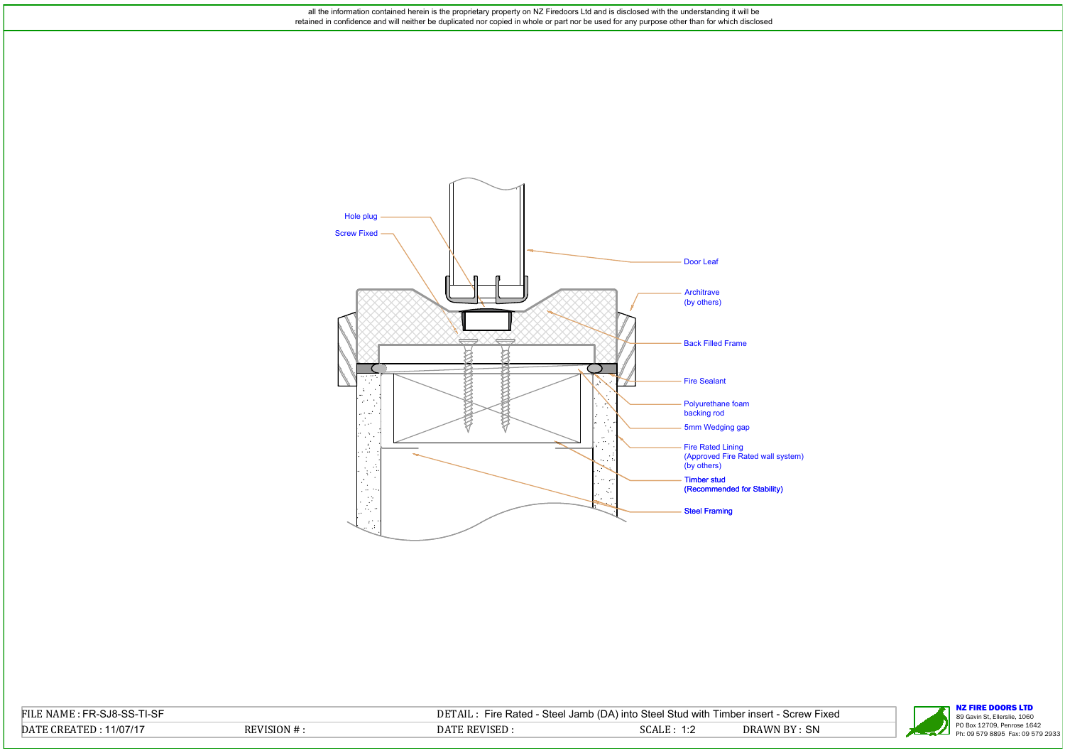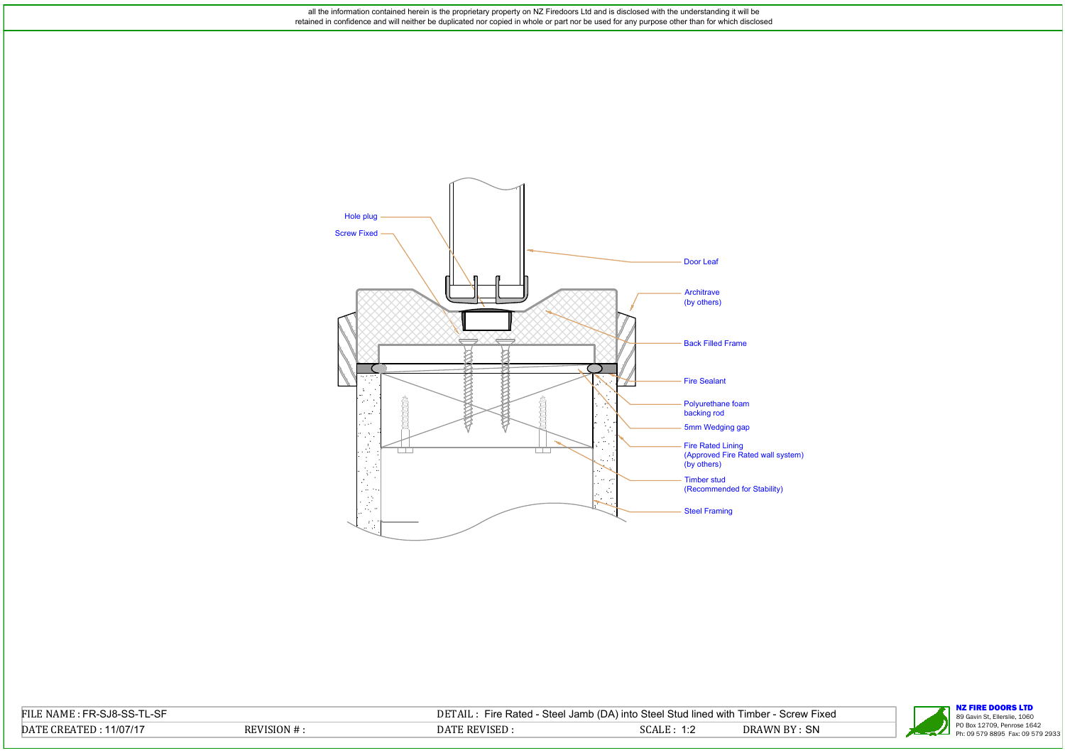